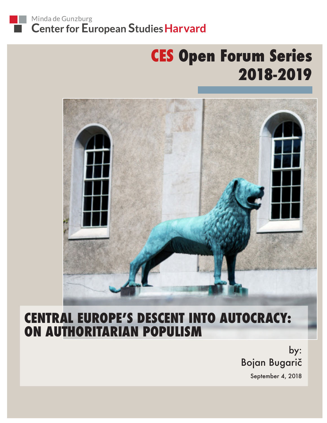

# **CES Open Forum Series 2018-2019**



## **CENTRAL EUROPE'S DESCENT INTO AUTOCRACY: ON AUTHORITARIAN POPULISM**

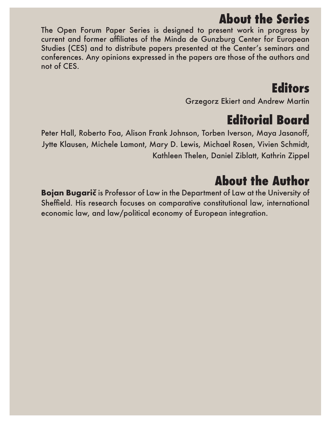### **About the Series**

The Open Forum Paper Series is designed to present work in progress by current and former affiliates of the Minda de Gunzburg Center for European Studies (CES) and to distribute papers presented at the Center's seminars and conferences. Any opinions expressed in the papers are those of the authors and not of CES.

## **Editors**

Grzegorz Ekiert and Andrew Martin

## **Editorial Board**

Peter Hall, Roberto Foa, Alison Frank Johnson, Torben Iverson, Maya Jasanoff, Jytte Klausen, Michele Lamont, Mary D. Lewis, Michael Rosen, Vivien Schmidt, Kathleen Thelen, Daniel Ziblatt, Kathrin Zippel

## **About the Author**

**Bojan Bugarič** is Professor of Law in the Department of Law at the University of Sheffield. His research focuses on comparative constitutional law, international economic law, and law/political economy of European integration.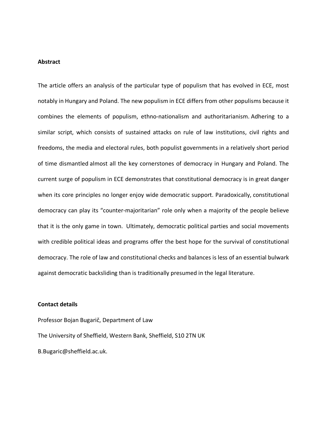#### **Abstract**

The article offers an analysis of the particular type of populism that has evolved in ECE, most notably in Hungary and Poland. The new populism in ECE differs from other populisms because it combines the elements of populism, ethno-nationalism and authoritarianism. Adhering to a similar script, which consists of sustained attacks on rule of law institutions, civil rights and freedoms, the media and electoral rules, both populist governments in a relatively short period of time dismantled almost all the key cornerstones of democracy in Hungary and Poland. The current surge of populism in ECE demonstrates that constitutional democracy is in great danger when its core principles no longer enjoy wide democratic support. Paradoxically, constitutional democracy can play its "counter-majoritarian" role only when a majority of the people believe that it is the only game in town. Ultimately, democratic political parties and social movements with credible political ideas and programs offer the best hope for the survival of constitutional democracy. The role of law and constitutional checks and balances is less of an essential bulwark against democratic backsliding than is traditionally presumed in the legal literature.

#### **Contact details**

Professor Bojan Bugarič, Department of Law The University of Sheffield, Western Bank, Sheffield, S10 2TN UK B.Bugaric@sheffield.ac.uk.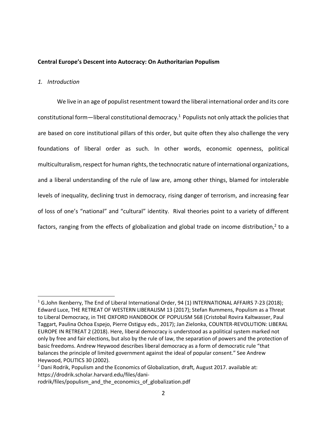#### **Central Europe's Descent into Autocracy: On Authoritarian Populism**

#### *1. Introduction*

We live in an age of populist resentment toward the liberal international order and its core constitutional form—liberal constitutional democracy.<sup>1</sup> Populists not only attack the policies that are based on core institutional pillars of this order, but quite often they also challenge the very foundations of liberal order as such. In other words, economic openness, political multiculturalism, respect for human rights, the technocratic nature of international organizations, and a liberal understanding of the rule of law are, among other things, blamed for intolerable levels of inequality, declining trust in democracy, rising danger of terrorism, and increasing fear of loss of one's "national" and "cultural" identity. Rival theories point to a variety of different factors, ranging from the effects of globalization and global trade on income distribution, $2$  to a

<sup>&</sup>lt;sup>1</sup> G.John Ikenberry, The End of Liberal International Order, 94 (1) INTERNATIONAL AFFAIRS 7-23 (2018); Edward Luce, THE RETREAT OF WESTERN LIBERALISM 13 (2017); Stefan Rummens, Populism as a Threat to Liberal Democracy, in THE OXFORD HANDBOOK OF POPULISM 568 (Cristobal Rovira Kaltwasser, Paul Taggart, Paulina Ochoa Espejo, Pierre Ostiguy eds., 2017); Jan Zielonka, COUNTER-REVOLUTION: LIBERAL EUROPE IN RETREAT 2 (2018). Here, liberal democracy is understood as a political system marked not only by free and fair elections, but also by the rule of law, the separation of powers and the protection of basic freedoms. Andrew Heywood describes liberal democracy as a form of democratic rule "that balances the principle of limited government against the ideal of popular consent." See Andrew Heywood, POLITICS 30 (2002).

 $<sup>2</sup>$  Dani Rodrik, Populism and the Economics of Globalization, draft, August 2017. available at:</sup> https://drodrik.scholar.harvard.edu/files/dani-

rodrik/files/populism\_and\_the\_economics\_of\_globalization.pdf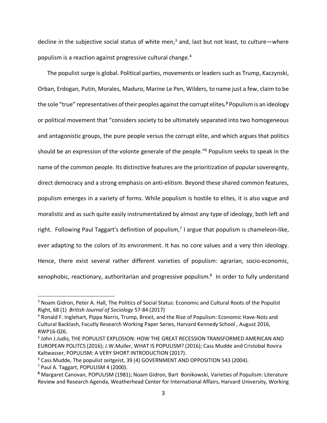decline in the subjective social status of white men,<sup>3</sup> and, last but not least, to culture—where populism is a reaction against progressive cultural change. 4

The populist surge is global. Political parties, movements or leaders such as Trump, Kaczynski, Orban, Erdogan, Putin, Morales, Maduro, Marine Le Pen, Wilders, to name just a few, claim to be the sole "true" representatives of their peoples against the corrupt elites*. <sup>5</sup>* Populism is an ideology or political movement that "considers society to be ultimately separated into two homogeneous and antagonistic groups, the pure people versus the corrupt elite, and which argues that politics should be an expression of the volonte generale of the people."6 Populism seeks to speak in the name of the common people. Its distinctive features are the prioritization of popular sovereignty, direct democracy and a strong emphasis on anti-elitism. Beyond these shared common features, populism emerges in a variety of forms. While populism is hostile to elites, it is also vague and moralistic and as such quite easily instrumentalized by almost any type of ideology, both left and right. Following Paul Taggart's definition of populism,<sup>7</sup> I argue that populism is chameleon-like, ever adapting to the colors of its environment. It has no core values and a very thin ideology. Hence, there exist several rather different varieties of populism: agrarian, socio-economic, xenophobic, reactionary, authoritarian and progressive populism.<sup>8</sup> In order to fully understand

<sup>&</sup>lt;sup>3</sup> Noam Gidron, Peter A. Hall, The Politics of Social Status: Economic and Cultural Roots of the Populist Right, 68 (1) *British Journal of Sociology* 57-84 (2017)

<sup>4</sup> Ronald F. Inglehart, Pippa Norris, Trump, Brexit, and the Rise of Populism: Economic Have-Nots and Cultural Backlash, Facutly Research Working Paper Series, Harvard Kennedy School , August 2016, RWP16-026.

<sup>5</sup> John J.Judis, THE POPULIST EXPLOSION: HOW THE GREAT RECESSION TRANSFORMED AMERICAN AND EUROPEAN POLITCS (2016); J.W.Muller, WHAT IS POPULISM? (2016); Cass Mudde and Cristobal Rovira Kaltwasser, POPULISM: A VERY SHORT INTRODUCTION (2017).

<sup>&</sup>lt;sup>6</sup> Cass Mudde, The populist zeitgeist, 39 (4) GOVERNMENT AND OPPOSITION 543 (2004).

 $7$  Paul A. Taggart, POPULISM 4 (2000).

**<sup>8</sup>** Margaret Canovan, POPULISM (1981); Noam Gidron, Bart Bonikowski, Varieties of Populism: Literature Review and Research Agenda, Weatherhead Center for International Affairs, Harvard University, Working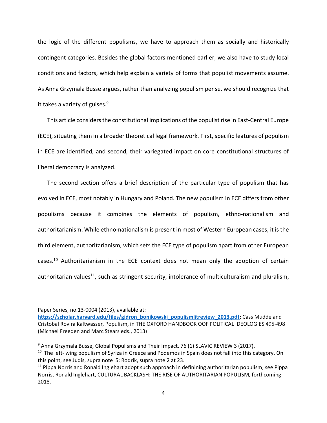the logic of the different populisms, we have to approach them as socially and historically contingent categories. Besides the global factors mentioned earlier, we also have to study local conditions and factors, which help explain a variety of forms that populist movements assume. As Anna Grzymala Busse argues, rather than analyzing populism per se, we should recognize that it takes a variety of guises. $9$ 

This article considers the constitutional implications of the populist rise in East-Central Europe (ECE), situating them in a broader theoretical legal framework. First, specific features of populism in ECE are identified, and second, their variegated impact on core constitutional structures of liberal democracy is analyzed.

The second section offers a brief description of the particular type of populism that has evolved in ECE, most notably in Hungary and Poland. The new populism in ECE differs from other populisms because it combines the elements of populism, ethno-nationalism and authoritarianism. While ethno-nationalism is present in most of Western European cases, it is the third element, authoritarianism, which sets the ECE type of populism apart from other European cases.<sup>10</sup> Authoritarianism in the ECE context does not mean only the adoption of certain authoritarian values<sup>11</sup>, such as stringent security, intolerance of multiculturalism and pluralism,

 $\overline{a}$ 

Paper Series, no.13-0004 (2013), available at:

**https://scholar.harvard.edu/files/gidron\_bonikowski\_populismlitreview\_2013.pdf;** Cass Mudde and Cristobal Rovira Kaltwasser, Populism, in THE OXFORD HANDBOOK OOF POLITICAL IDEOLOGIES 495-498 (Michael Freeden and Marc Stears eds., 2013)

 $9$  Anna Grzymala Busse, Global Populisms and Their Impact, 76 (1) SLAVIC REVIEW 3 (2017). <sup>10</sup> The left- wing populism of Syriza in Greece and Podemos in Spain does not fall into this category. On this point, see Judis, supra note 5; Rodrik, supra note 2 at 23.

 $11$  Pippa Norris and Ronald Inglehart adopt such approach in definining authoritarian populism, see Pippa Norris, Ronald Inglehart, CULTURAL BACKLASH: THE RISE OF AUTHORITARIAN POPULISM, forthcoming 2018.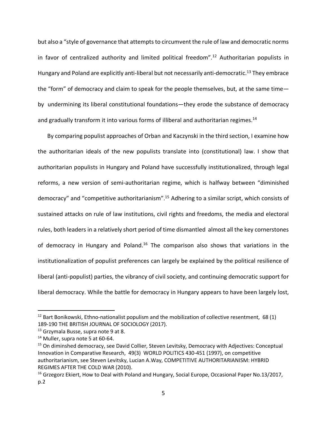but also a "style of governance that attempts to circumvent the rule of law and democratic norms in favor of centralized authority and limited political freedom".<sup>12</sup> Authoritarian populists in Hungary and Poland are explicitly anti-liberal but not necessarily anti-democratic.<sup>13</sup> They embrace the "form" of democracy and claim to speak for the people themselves, but, at the same time by undermining its liberal constitutional foundations—they erode the substance of democracy and gradually transform it into various forms of illiberal and authoritarian regimes.<sup>14</sup>

By comparing populist approaches of Orban and Kaczynski in the third section, I examine how the authoritarian ideals of the new populists translate into (constitutional) law. I show that authoritarian populists in Hungary and Poland have successfully institutionalized, through legal reforms, a new version of semi-authoritarian regime, which is halfway between "diminished democracy" and "competitive authoritarianism".15 Adhering to a similar script, which consists of sustained attacks on rule of law institutions, civil rights and freedoms, the media and electoral rules, both leaders in a relatively short period of time dismantled almost all the key cornerstones of democracy in Hungary and Poland.<sup>16</sup> The comparison also shows that variations in the institutionalization of populist preferences can largely be explained by the political resilience of liberal (anti-populist) parties, the vibrancy of civil society, and continuing democratic support for liberal democracy. While the battle for democracy in Hungary appears to have been largely lost,

 $12$  Bart Bonikowski, Ethno-nationalist populism and the mobilization of collective resentment, 68 (1) 189-190 THE BRITISH JOURNAL OF SOCIOLOGY (2017).

<sup>&</sup>lt;sup>13</sup> Grzymala Busse, supra note 9 at 8.

<sup>&</sup>lt;sup>14</sup> Muller, supra note 5 at 60-64.<br><sup>15</sup> On diminshed democracy, see David Collier, Steven Levitsky, Democracy with Adjectives: Conceptual Innovation in Comparative Research, 49(3) WORLD POLITICS 430-451 (1997), on competitive authoritarianism, see Steven Levitsky, Lucian A.Way, COMPETITIVE AUTHORITARIANISM: HYBRID REGIMES AFTER THE COLD WAR (2010).

 $16$  Grzegorz Ekiert, How to Deal with Poland and Hungary, Social Europe, Occasional Paper No.13/2017, p.2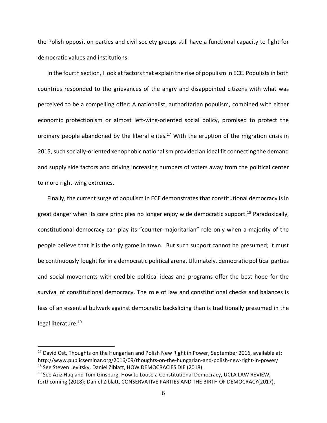the Polish opposition parties and civil society groups still have a functional capacity to fight for democratic values and institutions.

In the fourth section, I look at factors that explain the rise of populism in ECE. Populists in both countries responded to the grievances of the angry and disappointed citizens with what was perceived to be a compelling offer: A nationalist, authoritarian populism, combined with either economic protectionism or almost left-wing-oriented social policy, promised to protect the ordinary people abandoned by the liberal elites.<sup>17</sup> With the eruption of the migration crisis in 2015, such socially-oriented xenophobic nationalism provided an ideal fit connecting the demand and supply side factors and driving increasing numbers of voters away from the political center to more right-wing extremes.

Finally, the current surge of populism in ECE demonstrates that constitutional democracy is in great danger when its core principles no longer enjoy wide democratic support.<sup>18</sup> Paradoxically, constitutional democracy can play its "counter-majoritarian" role only when a majority of the people believe that it is the only game in town. But such support cannot be presumed; it must be continuously fought for in a democratic political arena. Ultimately, democratic political parties and social movements with credible political ideas and programs offer the best hope for the survival of constitutional democracy. The role of law and constitutional checks and balances is less of an essential bulwark against democratic backsliding than is traditionally presumed in the legal literature. 19

 $17$  David Ost, Thoughts on the Hungarian and Polish New Right in Power, September 2016, available at: http://www.publicseminar.org/2016/09/thoughts-on-the-hungarian-and-polish-new-right-in-power/ <sup>18</sup> See Steven Levitsky, Daniel Ziblatt, HOW DEMOCRACIES DIE (2018).

 $19$  See Aziz Huq and Tom Ginsburg, How to Loose a Constitutional Democracy, UCLA LAW REVIEW, forthcoming (2018); Daniel Ziblatt, CONSERVATIVE PARTIES AND THE BIRTH OF DEMOCRACY(2017),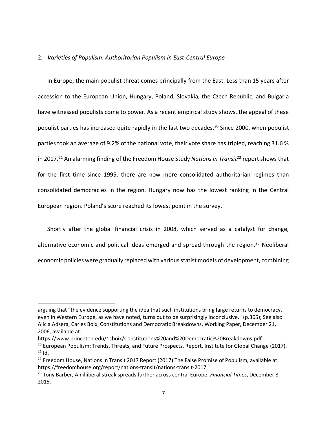#### 2. *Varieties of Populism: Authoritarian Populism in East-Central Europe*

In Europe, the main populist threat comes principally from the East. Less than 15 years after accession to the European Union, Hungary, Poland, Slovakia, the Czech Republic, and Bulgaria have witnessed populists come to power. As a recent empirical study shows, the appeal of these populist parties has increased quite rapidly in the last two decades.<sup>20</sup> Since 2000, when populist parties took an average of 9.2% of the national vote, their vote share has tripled, reaching 31.6 % in 2017.<sup>21</sup> An alarming finding of the Freedom House Study *Nations in Transit*<sup>22</sup> report shows that for the first time since 1995, there are now more consolidated authoritarian regimes than consolidated democracies in the region. Hungary now has the lowest ranking in the Central European region. Poland's score reached its lowest point in the survey.

Shortly after the global financial crisis in 2008, which served as a catalyst for change, alternative economic and political ideas emerged and spread through the region.<sup>23</sup> Neoliberal economic policies were gradually replaced with various statist models of development, combining

https://www.princeton.edu/~cboix/Constitutions%20and%20Democratic%20Breakdowns.pdf

l

arguing that "the evidence supporting the idea that such institutions bring large returns to democracy, even in Western Europe, as we have noted, turns out to be surprisingly inconclusive." (p.365); See also Alicia Adsera, Carles Boix, Constitutions and Democratic Breakdowns, Working Paper, December 21, 2006, available at:

<sup>&</sup>lt;sup>20</sup> European Populism: Trends, Threats, and Future Prospects, Report. Institute for Global Change (2017).<br><sup>21</sup> Id.

 $22$  Freedom House, Nations in Transit 2017 Report (2017) The False Promise of Populism, available at: https://freedomhouse.org/report/nations-transit/nations-transit-2017

<sup>23</sup> Tony Barber, An illiberal streak spreads further across central Europe, *Financial Times*, December 8, 2015.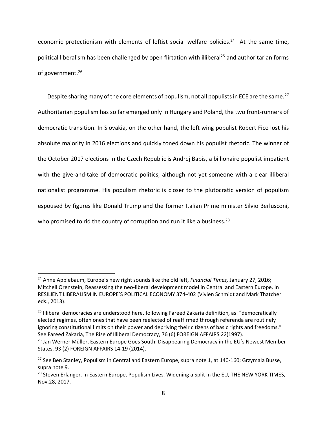economic protectionism with elements of leftist social welfare policies.<sup>24</sup> At the same time, political liberalism has been challenged by open flirtation with illiberal<sup>25</sup> and authoritarian forms of government.<sup>26</sup>

Despite sharing many of the core elements of populism, not all populists in ECE are the same.<sup>27</sup> Authoritarian populism has so far emerged only in Hungary and Poland, the two front-runners of democratic transition. In Slovakia, on the other hand, the left wing populist Robert Fico lost his absolute majority in 2016 elections and quickly toned down his populist rhetoric. The winner of the October 2017 elections in the Czech Republic is Andrej Babis, a billionaire populist impatient with the give-and-take of democratic politics, although not yet someone with a clear illiberal nationalist programme. His populism rhetoric is closer to the plutocratic version of populism espoused by figures like Donald Trump and the former Italian Prime minister Silvio Berlusconi, who promised to rid the country of corruption and run it like a business.<sup>28</sup>

 <sup>24</sup> Anne Applebaum, Europe's new right sounds like the old left, *Financial Times,* January 27, 2016; Mitchell Orenstein, Reassessing the neo-liberal development model in Central and Eastern Europe, in RESILIENT LIBERALISM IN EUROPE'S POLITICAL ECONOMY 374-402 (Vivien Schmidt and Mark Thatcher eds., 2013).

<sup>&</sup>lt;sup>25</sup> Illiberal democracies are understood here, following Fareed Zakaria definition, as: "democratically elected regimes, often ones that have been reelected of reaffirmed through referenda are routinely ignoring constitutional limits on their power and depriving their citizens of basic rights and freedoms." See Fareed Zakaria, The Rise of Illiberal Democracy, 76 (6) FOREIGN AFFAIRS 22(1997).<br><sup>26</sup> Jan Werner Müller, Eastern Europe Goes South: Disappearing Democracy in the EU's Newest Member

States, 93 (2) FOREIGN AFFAIRS 14-19 (2014).

<sup>&</sup>lt;sup>27</sup> See Ben Stanley, Populism in Central and Eastern Europe, supra note 1, at 140-160; Grzymala Busse, supra note 9.

<sup>&</sup>lt;sup>28</sup> Steven Erlanger, In Eastern Europe, Populism Lives, Widening a Split in the EU, THE NEW YORK TIMES, Nov.28, 2017.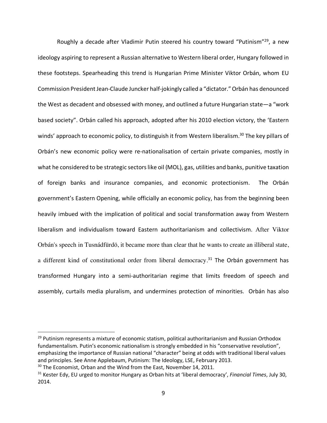Roughly a decade after Vladimir Putin steered his country toward "Putinism"29, a new ideology aspiring to represent a Russian alternative to Western liberal order, Hungary followed in these footsteps. Spearheading this trend is Hungarian Prime Minister Viktor Orbán, whom EU Commission President Jean-Claude Juncker half-jokingly called a "dictator."Orbán has denounced the West as decadent and obsessed with money, and outlined a future Hungarian state—a "work based society". Orbán called his approach, adopted after his 2010 election victory, the 'Eastern winds' approach to economic policy, to distinguish it from Western liberalism.<sup>30</sup> The key pillars of Orbán's new economic policy were re-nationalisation of certain private companies, mostly in what he considered to be strategic sectors like oil (MOL), gas, utilities and banks, punitive taxation of foreign banks and insurance companies, and economic protectionism. The Orbán government's Eastern Opening, while officially an economic policy, has from the beginning been heavily imbued with the implication of political and social transformation away from Western liberalism and individualism toward Eastern authoritarianism and collectivism. After Viktor Orbán's speech in Tusnádfürdö, it became more than clear that he wants to create an illiberal state, a different kind of constitutional order from liberal democracy.<sup>31</sup> The Orbán government has transformed Hungary into a semi-authoritarian regime that limits freedom of speech and assembly, curtails media pluralism, and undermines protection of minorities. Orbán has also

 $29$  Putinism represents a mixture of economic statism, political authoritarianism and Russian Orthodox fundamentalism. Putin's economic nationalism is strongly embedded in his "conservative revolution", emphasizing the importance of Russian national "character" being at odds with traditional liberal values and principles. See Anne Applebaum, Putinism: The Ideology, LSE, February 2013.

<sup>&</sup>lt;sup>30</sup> The Economist, Orban and the Wind from the East, November 14, 2011.

<sup>31</sup> Kester Edy, EU urged to monitor Hungary as Orban hits at 'liberal democracy', *Financial Times*, July 30, 2014.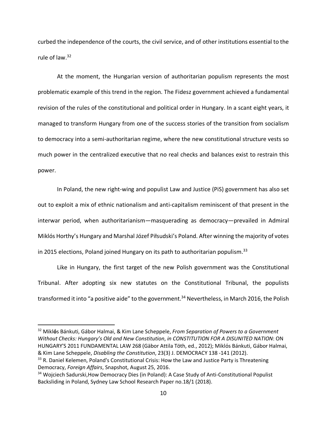curbed the independence of the courts, the civil service, and of other institutions essential to the rule of law.32

At the moment, the Hungarian version of authoritarian populism represents the most problematic example of this trend in the region. The Fidesz government achieved a fundamental revision of the rules of the constitutional and political order in Hungary. In a scant eight years, it managed to transform Hungary from one of the success stories of the transition from socialism to democracy into a semi-authoritarian regime, where the new constitutional structure vests so much power in the centralized executive that no real checks and balances exist to restrain this power.

In Poland, the new right-wing and populist Law and Justice (PiS) government has also set out to exploit a mix of ethnic nationalism and anti-capitalism reminiscent of that present in the interwar period, when authoritarianism—masquerading as democracy—prevailed in Admiral Miklós Horthy's Hungary and Marshal Józef Piłsudski's Poland. After winning the majority of votes in 2015 elections, Poland joined Hungary on its path to authoritarian populism.<sup>33</sup>

Like in Hungary, the first target of the new Polish government was the Constitutional Tribunal. After adopting six new statutes on the Constitutional Tribunal, the populists transformed it into "a positive aide" to the government. <sup>34</sup> Nevertheless, in March 2016, the Polish

 32 Mikl**ό**s Bánkuti, Gábor Halmai, & Kim Lane Scheppele, *From Separation of Powers to a Government Without Checks: Hungary's Old and New Constitution*, *in CONSTITUTION FOR A DISUNITED NATION*: ON HUNGARY'S 2011 FUNDAMENTAL LAW 268 (Gäbor Attila Töth, ed., 2012); Miklόs Bánkuti, Gábor Halmai, & Kim Lane Scheppele, *Disabling the Constitution*, 23(3) J. DEMOCRACY 138 -141 (2012).

<sup>&</sup>lt;sup>33</sup> R. Daniel Kelemen, Poland's Constitutional Crisis: How the Law and Justice Party is Threatening Democracy, *Foreign Affairs*, Snapshot, August 25, 2016.

<sup>&</sup>lt;sup>34</sup> Wojciech Sadurski, How Democracy Dies (in Poland): A Case Study of Anti-Constitutional Populist Backsliding in Poland, Sydney Law School Research Paper no.18/1 (2018).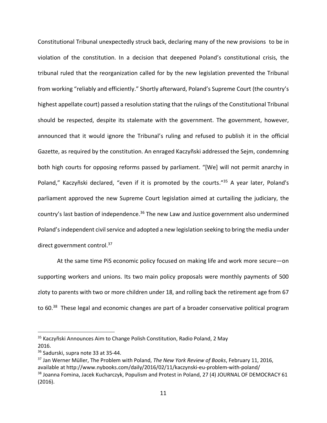Constitutional Tribunal unexpectedly struck back, declaring many of the new provisions to be in violation of the constitution. In a decision that deepened Poland's constitutional crisis, the tribunal ruled that the reorganization called for by the new legislation prevented the Tribunal from working "reliably and efficiently." Shortly afterward, Poland's Supreme Court (the country's highest appellate court) passed a resolution stating that the rulings of the Constitutional Tribunal should be respected, despite its stalemate with the government. The government, however, announced that it would ignore the Tribunal's ruling and refused to publish it in the official Gazette, as required by the constitution. An enraged Kaczyñski addressed the Sejm, condemning both high courts for opposing reforms passed by parliament. "[We] will not permit anarchy in Poland," Kaczyñski declared, "even if it is promoted by the courts."<sup>35</sup> A year later, Poland's parliament approved the new Supreme Court legislation aimed at curtailing the judiciary, the country's last bastion of independence.<sup>36</sup> The new Law and Justice government also undermined Poland's independent civil service and adopted a new legislation seeking to bring the media under direct government control.<sup>37</sup>

At the same time PiS economic policy focused on making life and work more secure—on supporting workers and unions. Its two main policy proposals were monthly payments of 500 zloty to parents with two or more children under 18, and rolling back the retirement age from 67 to 60.<sup>38</sup> These legal and economic changes are part of a broader conservative political program

<sup>&</sup>lt;sup>35</sup> Kaczyñski Announces Aim to Change Polish Constitution, Radio Poland, 2 May 2016.

<sup>&</sup>lt;sup>36</sup> Sadurski, supra note 33 at 35-44.

<sup>37</sup> Jan Werner Müller, The Problem with Poland, *The New York Review of Books*, February 11, 2016, available at http://www.nybooks.com/daily/2016/02/11/kaczynski-eu-problem-with-poland/ <sup>38</sup> Joanna Fomina, Jacek Kucharczyk, Populism and Protest in Poland, 27 (4) JOURNAL OF DEMOCRACY 61 (2016).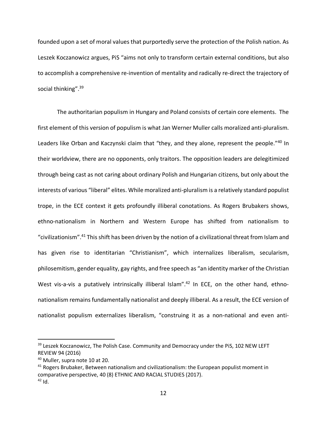founded upon a set of moral values that purportedly serve the protection of the Polish nation. As Leszek Koczanowicz argues, PiS "aims not only to transform certain external conditions, but also to accomplish a comprehensive re-invention of mentality and radically re-direct the trajectory of social thinking".<sup>39</sup>

The authoritarian populism in Hungary and Poland consists of certain core elements. The first element of this version of populism is what Jan Werner Muller calls moralized anti-pluralism. Leaders like Orban and Kaczynski claim that "they, and they alone, represent the people."40 In their worldview, there are no opponents, only traitors. The opposition leaders are delegitimized through being cast as not caring about ordinary Polish and Hungarian citizens, but only about the interests of various "liberal" elites. While moralized anti-pluralism is a relatively standard populist trope, in the ECE context it gets profoundly illiberal conotations. As Rogers Brubakers shows, ethno-nationalism in Northern and Western Europe has shifted from nationalism to "civilizationism". <sup>41</sup> This shift has been driven by the notion of a civilizational threat from Islam and has given rise to identitarian "Christianism", which internalizes liberalism, secularism, philosemitism, gender equality, gay rights, and free speech as "an identity marker of the Christian West vis-a-vis a putatively intrinsically illiberal Islam".<sup>42</sup> In ECE, on the other hand, ethnonationalism remains fundamentally nationalist and deeply illiberal. As a result, the ECE version of nationalist populism externalizes liberalism, "construing it as a non-national and even anti-

<sup>&</sup>lt;sup>39</sup> Leszek Koczanowicz, The Polish Case. Community and Democracy under the PiS, 102 NEW LEFT REVIEW 94 (2016)

<sup>&</sup>lt;sup>40</sup> Muller, supra note 10 at 20.<br><sup>41</sup> Rogers Brubaker, Between nationalism and civilizationalism: the European populist moment in comparative perspective, 40 (8) ETHNIC AND RACIAL STUDIES (2017).  $42$  Id.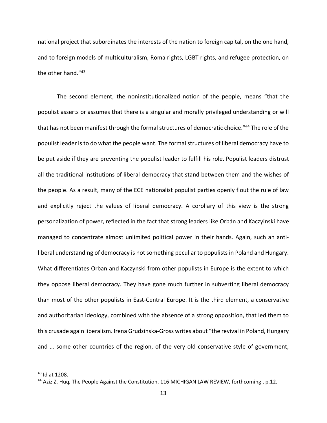national project that subordinates the interests of the nation to foreign capital, on the one hand, and to foreign models of multiculturalism, Roma rights, LGBT rights, and refugee protection, on the other hand."43

The second element, the noninstitutionalized notion of the people, means "that the populist asserts or assumes that there is a singular and morally privileged understanding or will that has not been manifest through the formal structures of democratic choice."<sup>44</sup> The role of the populist leader is to do what the people want. The formal structures of liberal democracy have to be put aside if they are preventing the populist leader to fulfill his role. Populist leaders distrust all the traditional institutions of liberal democracy that stand between them and the wishes of the people. As a result, many of the ECE nationalist populist parties openly flout the rule of law and explicitly reject the values of liberal democracy. A corollary of this view is the strong personalization of power, reflected in the fact that strong leaders like Orbán and Kaczyinski have managed to concentrate almost unlimited political power in their hands. Again, such an antiliberal understanding of democracy is not something peculiar to populists in Poland and Hungary. What differentiates Orban and Kaczynski from other populists in Europe is the extent to which they oppose liberal democracy. They have gone much further in subverting liberal democracy than most of the other populists in East-Central Europe. It is the third element, a conservative and authoritarian ideology, combined with the absence of a strong opposition, that led them to this crusade again liberalism. Irena Grudzinska-Gross writes about "the revival in Poland, Hungary and … some other countries of the region, of the very old conservative style of government,

 <sup>43</sup> Id at 1208.

<sup>&</sup>lt;sup>44</sup> Aziz Z. Huq, The People Against the Constitution, 116 MICHIGAN LAW REVIEW, forthcoming, p.12.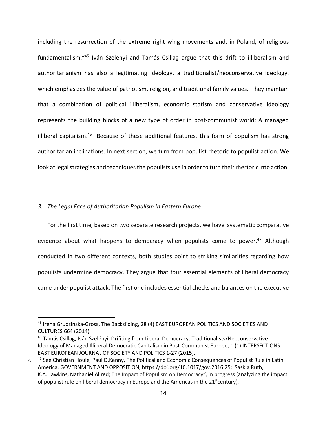including the resurrection of the extreme right wing movements and, in Poland, of religious fundamentalism."45 Iván Szelényi and Tamás Csillag argue that this drift to illiberalism and authoritarianism has also a legitimating ideology, a traditionalist/neoconservative ideology, which emphasizes the value of patriotism, religion, and traditional family values. They maintain that a combination of political illiberalism, economic statism and conservative ideology represents the building blocks of a new type of order in post-communist world: A managed illiberal capitalism.<sup>46</sup> Because of these additional features, this form of populism has strong authoritarian inclinations. In next section, we turn from populist rhetoric to populist action. We look at legal strategies and techniques the populists use in order to turn their rhertoric into action.

#### *3. The Legal Face of Authoritarian Populism in Eastern Europe*

For the first time, based on two separate research projects, we have systematic comparative evidence about what happens to democracy when populists come to power.<sup>47</sup> Although conducted in two different contexts, both studies point to striking similarities regarding how populists undermine democracy. They argue that four essential elements of liberal democracy came under populist attack. The first one includes essential checks and balances on the executive

 <sup>45</sup> Irena Grudzinska-Gross, The Backsliding, 28 (4) EAST EUROPEAN POLITICS AND SOCIETIES AND CULTURES 664 (2014).<br><sup>46</sup> Tamás Csillag, Iván Szelényi, Drifiting from Liberal Democracy: Traditionalists/Neoconservative

Ideology of Managed Illiberal Democratic Capitalism in Post-Communist Europe, 1 (1) INTERSECTIONS: EAST EUROPEAN JOURNAL OF SOCIETY AND POLITICS 1-27 (2015).

 $\circ$  47 See Christian Houle, Paul D.Kenny, The Political and Economic Consequences of Populist Rule in Latin America, GOVERNMENT AND OPPOSITION, https://doi.org/10.1017/gov.2016.25; Saskia Ruth, K.A.Hawkins, Nathaniel Allred; The Impact of Populism on Democracy", in progress (analyzing the impact of populist rule on liberal democracy in Europe and the Americas in the  $21<sup>st</sup>century$ .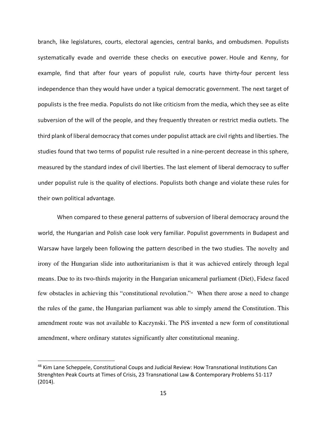branch, like legislatures, courts, electoral agencies, central banks, and ombudsmen. Populists systematically evade and override these checks on executive power. Houle and Kenny, for example, find that after four years of populist rule, courts have thirty-four percent less independence than they would have under a typical democratic government. The next target of populists is the free media. Populists do not like criticism from the media, which they see as elite subversion of the will of the people, and they frequently threaten or restrict media outlets. The third plank of liberal democracy that comes under populist attack are civil rights and liberties. The studies found that two terms of populist rule resulted in a nine-percent decrease in this sphere, measured by the standard index of civil liberties. The last element of liberal democracy to suffer under populist rule is the quality of elections. Populists both change and violate these rules for their own political advantage.

When compared to these general patterns of subversion of liberal democracy around the world, the Hungarian and Polish case look very familiar. Populist governments in Budapest and Warsaw have largely been following the pattern described in the two studies. The novelty and irony of the Hungarian slide into authoritarianism is that it was achieved entirely through legal means. Due to its two-thirds majority in the Hungarian unicameral parliament (Diet), Fidesz faced few obstacles in achieving this "constitutional revolution."<sup>48</sup> When there arose a need to change the rules of the game, the Hungarian parliament was able to simply amend the Constitution. This amendment route was not available to Kaczynski. The PiS invented a new form of constitutional amendment, where ordinary statutes significantly alter constitutional meaning.

<sup>48</sup> Kim Lane Scheppele, Constitutional Coups and Judicial Review: How Transnational Institutions Can Strenghten Peak Courts at Times of Crisis, 23 Transnational Law & Contemporary Problems 51-117 (2014).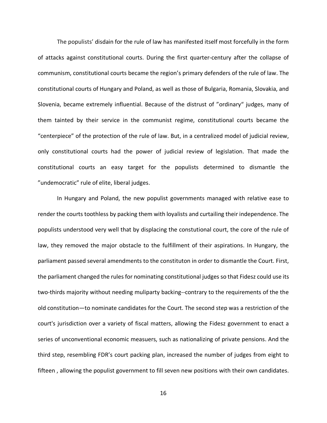The populists' disdain for the rule of law has manifested itself most forcefully in the form of attacks against constitutional courts. During the first quarter-century after the collapse of communism, constitutional courts became the region's primary defenders of the rule of law. The constitutional courts of Hungary and Poland, as well as those of Bulgaria, Romania, Slovakia, and Slovenia, became extremely influential. Because of the distrust of "ordinary" judges, many of them tainted by their service in the communist regime, constitutional courts became the "centerpiece" of the protection of the rule of law. But, in a centralized model of judicial review, only constitutional courts had the power of judicial review of legislation. That made the constitutional courts an easy target for the populists determined to dismantle the "undemocratic" rule of elite, liberal judges.

In Hungary and Poland, the new populist governments managed with relative ease to render the courts toothless by packing them with loyalists and curtailing their independence. The populists understood very well that by displacing the constutional court, the core of the rule of law, they removed the major obstacle to the fulfillment of their aspirations. In Hungary, the parliament passed several amendments to the constituton in order to dismantle the Court. First, the parliament changed the rules for nominating constitutional judges so that Fidesz could use its two-thirds majority without needing muliparty backing--contrary to the requirements of the the old constitution—to nominate candidates for the Court. The second step was a restriction of the court's jurisdiction over a variety of fiscal matters, allowing the Fidesz government to enact a series of unconventional economic measuers, such as nationalizing of private pensions. And the third step, resembling FDR's court packing plan, increased the number of judges from eight to fifteen , allowing the populist government to fill seven new positions with their own candidates.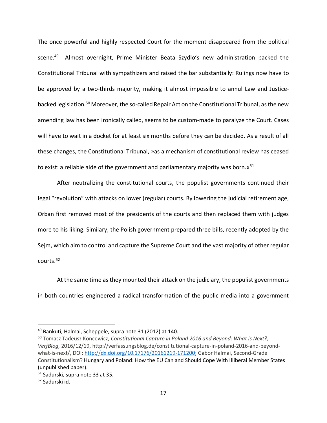The once powerful and highly respected Court for the moment disappeared from the political scene.<sup>49</sup> Almost overnight, Prime Minister Beata Szydlo's new administration packed the Constitutional Tribunal with sympathizers and raised the bar substantially: Rulings now have to be approved by a two-thirds majority, making it almost impossible to annul Law and Justicebacked legislation.<sup>50</sup> Moreover, the so-called Repair Act on the Constitutional Tribunal, as the new amending law has been ironically called, seems to be custom-made to paralyze the Court. Cases will have to wait in a docket for at least six months before they can be decided. As a result of all these changes, the Constitutional Tribunal, »as a mechanism of constitutional review has ceased to exist: a reliable aide of the government and parliamentary majority was born. $\alpha^{51}$ 

After neutralizing the constitutional courts, the populist governments continued their legal "revolution" with attacks on lower (regular) courts. By lowering the judicial retirement age, Orban first removed most of the presidents of the courts and then replaced them with judges more to his liking. Similary, the Polish government prepared three bills, recently adopted by the Sejm, which aim to control and capture the Supreme Court and the vast majority of other regular courts.52

At the same time as they mounted their attack on the judiciary, the populist governments in both countries engineered a radical transformation of the public media into a government

<sup>&</sup>lt;sup>49</sup> Bankuti, Halmai, Scheppele, supra note 31 (2012) at 140.

<sup>50</sup> Tomasz Tadeusz Koncewicz, *Constitutional Capture in Poland 2016 and Beyond: What is Next?, VerfBlog,* 2016/12/19, http://verfassungsblog.de/constitutional-capture-in-poland-2016-and-beyondwhat-is-next/, DOI: http://dx.doi.org/10.17176/20161219-171200; Gabor Halmai, Second-Grade Constitutionalism? Hungary and Poland: How the EU Can and Should Cope With Illiberal Member States (unpublished paper).

<sup>51</sup> Sadurski, supra note 33 at 35.

<sup>52</sup> Sadurski id.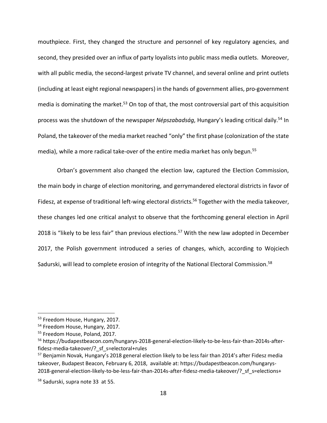mouthpiece. First, they changed the structure and personnel of key regulatory agencies, and second, they presided over an influx of party loyalists into public mass media outlets. Moreover, with all public media, the second-largest private TV channel, and several online and print outlets (including at least eight regional newspapers) in the hands of government allies, pro-government media is dominating the market.<sup>53</sup> On top of that, the most controversial part of this acquisition process was the shutdown of the newspaper *Népszabadság*, Hungary's leading critical daily.<sup>54</sup> In Poland, the takeover of the media market reached "only" the first phase (colonization of the state media), while a more radical take-over of the entire media market has only begun.<sup>55</sup>

Orban's government also changed the election law, captured the Election Commission, the main body in charge of election monitoring, and gerrymandered electoral districts in favor of Fidesz, at expense of traditional left-wing electoral districts.<sup>56</sup> Together with the media takeover, these changes led one critical analyst to observe that the forthcoming general election in April 2018 is "likely to be less fair" than previous elections.<sup>57</sup> With the new law adopted in December 2017, the Polish government introduced a series of changes, which, according to Wojciech Sadurski, will lead to complete erosion of integrity of the National Electoral Commission.<sup>58</sup>

<sup>53</sup> Freedom House, Hungary, 2017.

<sup>&</sup>lt;sup>54</sup> Freedom House, Hungary, 2017.

<sup>55</sup> Freedom House, Poland, 2017.

<sup>56</sup> https://budapestbeacon.com/hungarys-2018-general-election-likely-to-be-less-fair-than-2014s-afterfidesz-media-takeover/?\_sf\_s=electoral+rules

<sup>&</sup>lt;sup>57</sup> Benjamin Novak, Hungary's 2018 general election likely to be less fair than 2014's after Fidesz media takeover, Budapest Beacon, February 6, 2018, available at: https://budapestbeacon.com/hungarys-2018-general-election-likely-to-be-less-fair-than-2014s-after-fidesz-media-takeover/? sf s=elections+

<sup>58</sup> Sadurski, supra note 33 at 55.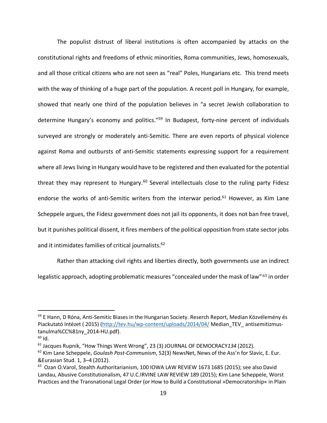The populist distrust of liberal institutions is often accompanied by attacks on the constitutional rights and freedoms of ethnic minorities, Roma communities, Jews, homosexuals, and all those critical citizens who are not seen as "real" Poles, Hungarians etc. This trend meets with the way of thinking of a huge part of the population. A recent poll in Hungary, for example, showed that nearly one third of the population believes in "a secret Jewish collaboration to determine Hungary's economy and politics."<sup>59</sup> In Budapest, forty-nine percent of individuals surveyed are strongly or moderately anti-Semitic. There are even reports of physical violence against Roma and outbursts of anti-Semitic statements expressing support for a requirement where all Jews living in Hungary would have to be registered and then evaluated for the potential threat they may represent to Hungary.<sup>60</sup> Several intellectuals close to the ruling party Fidesz endorse the works of anti-Semitic writers from the interwar period.<sup>61</sup> However, as Kim Lane Scheppele argues, the Fidesz government does not jail its opponents, it does not ban free travel, but it punishes political dissent, it fires members of the political opposition from state sector jobs and it intimidates families of critical journalists.<sup>62</sup>

Rather than attacking civil rights and liberties directly, both governments use an indirect legalistic approach, adopting problematic measures "concealed under the mask of law" <sup>63</sup> in order

<sup>&</sup>lt;sup>59</sup> E Hann, D Róna, Anti-Semitic Biases in the Hungarian Society. Reserch Report, Median Közvélemény és Piackutató Intézet (2015) (http://tev.hu/wp-content/uploads/2014/04/ Median\_TEV\_ antisemitizmustanulma%CC%81ny\_2014-HU.pdf).

 $60$  Id.

<sup>61</sup> Jacques Rupnik, "How Things Went Wrong", 23 (3) JOURNAL OF DEMOCRACY*134* (2012).

<sup>62</sup> Kim Lane Scheppele, *Goulash Post-Communism*, 52(3) NewsNet, News of the Ass'n for Slavic, E. Eur. &Eurasian Stud. 1, 3–4 (2012).

<sup>&</sup>lt;sup>63</sup> Ozan O.Varol, Stealth Authoritarianism, 100 IOWA LAW REVIEW 1673 1685 (2015); see also David Landau, Abusive Constitutionalism, 47 U.C.IRVINE LAW REVIEW 189 (2015); Kim Lane Scheppele, Worst Practices and the Transnational Legal Order (or How to Build a Constitutional »Democratorship« in Plain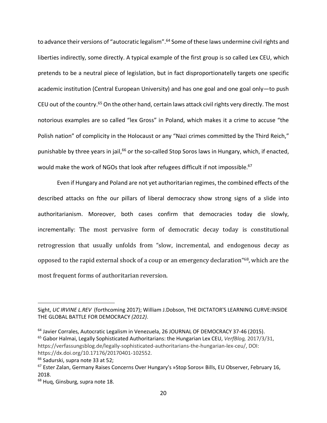to advance their versions of "autocratic legalism".<sup>64</sup> Some of these laws undermine civil rights and liberties indirectly, some directly. A typical example of the first group is so called Lex CEU, which pretends to be a neutral piece of legislation, but in fact disproportionatelly targets one specific academic institution (Central European University) and has one goal and one goal only—to push CEU out of the country.<sup>65</sup> On the other hand, certain laws attack civil rights very directly. The most notorious examples are so called "lex Gross" in Poland, which makes it a crime to accuse "the Polish nation" of complicity in the Holocaust or any "Nazi crimes committed by the Third Reich," punishable by three years in jail,<sup>66</sup> or the so-called Stop Soros laws in Hungary, which, if enacted, would make the work of NGOs that look after refugees difficult if not impossible.<sup>67</sup>

Even if Hungary and Poland are not yet authoritarian regimes, the combined effects of the described attacks on fthe our pillars of liberal democracy show strong signs of a slide into authoritarianism. Moreover, both cases confirm that democracies today die slowly, incrementally: The most pervasive form of democratic decay today is constitutional retrogression that usually unfolds from "slow, incremental, and endogenous decay as opposed to the rapid external shock of a coup or an emergency declaration "68, which are the most frequent forms of authoritarian reversion.

 $\overline{a}$ 

Sight, *UC IRVINE L.REV* (forthcoming 2017); William J.Dobson, THE DICTATOR'S LEARNING CURVE:INSIDE THE GLOBAL BATTLE FOR DEMOCRACY *(2012)*.

<sup>&</sup>lt;sup>64</sup> Javier Corrales, Autocratic Legalism in Venezuela, 26 JOURNAL OF DEMOCRACY 37-46 (2015). <sup>65</sup> Gabor Halmai, Legally Sophisticated Authoritarians: the Hungarian Lex CEU, *VerfBlog,* 2017/3/31,

https://verfassungsblog.de/legally-sophisticated-authoritarians-the-hungarian-lex-ceu/, DOI: https://dx.doi.org/10.17176/20170401-102552.

<sup>&</sup>lt;sup>66</sup> Sadurski, supra note 33 at 52;

<sup>67</sup> Ester Zalan, Germany Raises Concerns Over Hungary's »Stop Soros« Bills, EU Observer, February 16, 2018.

<sup>&</sup>lt;sup>68</sup> Hug, Ginsburg, supra note 18.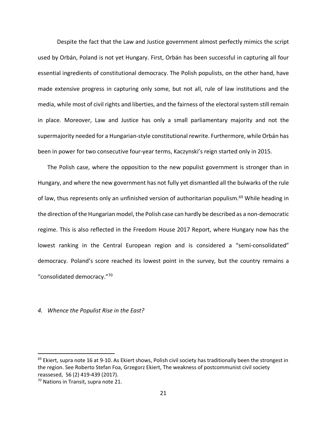Despite the fact that the Law and Justice government almost perfectly mimics the script used by Orbán, Poland is not yet Hungary. First, Orbán has been successful in capturing all four essential ingredients of constitutional democracy. The Polish populists, on the other hand, have made extensive progress in capturing only some, but not all, rule of law institutions and the media, while most of civil rights and liberties, and the fairness of the electoral system still remain in place. Moreover, Law and Justice has only a small parliamentary majority and not the supermajority needed for a Hungarian-style constitutional rewrite. Furthermore, while Orbán has been in power for two consecutive four-year terms, Kaczynski's reign started only in 2015.

The Polish case, where the opposition to the new populist government is stronger than in Hungary, and where the new government has not fully yet dismantled all the bulwarks of the rule of law, thus represents only an unfinished version of authoritarian populism.<sup>69</sup> While heading in the direction of the Hungarian model, the Polish case can hardly be described as a non-democratic regime. This is also reflected in the Freedom House 2017 Report, where Hungary now has the lowest ranking in the Central European region and is considered a "semi-consolidated" democracy. Poland's score reached its lowest point in the survey, but the country remains a "consolidated democracy."70

#### *4. Whence the Populist Rise in the East?*

 $69$  Ekiert, supra note 16 at 9-10. As Ekiert shows, Polish civil society has traditionally been the strongest in the region. See Roberto Stefan Foa, Grzegorz Ekiert, The weakness of postcommunist civil society reassesed, 56 (2) 419-439 (2017).

<sup>&</sup>lt;sup>70</sup> Nations in Transit, supra note 21.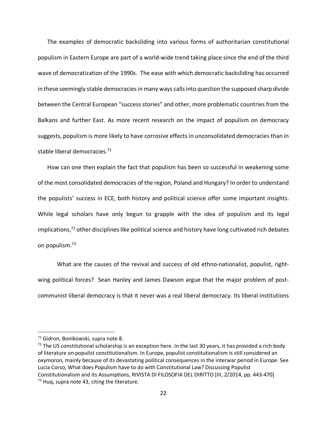The examples of democratic backsliding into various forms of authoritarian constitutional populism in Eastern Europe are part of a world-wide trend taking place since the end of the third wave of democratization of the 1990s. The ease with which democratic backsliding has occurred in these seemingly stable democracies in many ways calls into question the supposed sharp divide between the Central European "success stories" and other, more problematic countries from the Balkans and further East. As more recent research on the impact of populism on democracy suggests, populism is more likely to have corrosive effects in unconsolidated democracies than in stable liberal democracies.<sup>71</sup>

How can one then explain the fact that populism has been so successful in weakening some of the most consolidated democracies of the region, Poland and Hungary? In order to understand the populists' success in ECE, both history and political science offer some important insights. While legal scholars have only begun to grapple with the idea of populism and its legal implications, $72$  other disciplines like political science and history have long cultivated rich debates on populism.73

What are the causes of the revival and success of old ethno-nationalist, populist, rightwing political forces? Sean Hanley and James Dawson argue that the major problem of postcommunist liberal democracy is that it never was a real liberal democracy. Its liberal institutions

<sup>&</sup>lt;sup>71</sup> Gidron, Bonikowski, supra note 8.<br><sup>72</sup> The US constitutional scholarship is an exception here. In the last 30 years, it has provided a rich body of literature on populist constitutionalism. In Europe, populist constitutionalism is still considered an oxymoron, mainly because of its devastating political consequences in the interwar period in Europe. See Lucia Corso, What does Populism have to do with Constitutional Law? Discussing Populist Constitutionalism and its Assumptions, RIVISTA DI FILOSOFIA DEL DIRITTO [III, 2/2014, pp. 443-470]  $73$  Huq, supra note 43, citing the literature.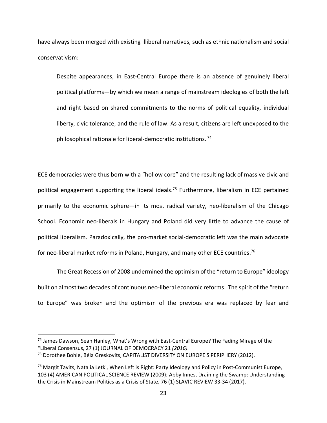have always been merged with existing illiberal narratives, such as ethnic nationalism and social conservativism:

Despite appearances, in East-Central Europe there is an absence of genuinely liberal political platforms—by which we mean a range of mainstream ideologies of both the left and right based on shared commitments to the norms of political equality, individual liberty, civic tolerance, and the rule of law. As a result, citizens are left unexposed to the philosophical rationale for liberal-democratic institutions. <sup>74</sup>

ECE democracies were thus born with a "hollow core" and the resulting lack of massive civic and political engagement supporting the liberal ideals.<sup>75</sup> Furthermore, liberalism in ECE pertained primarily to the economic sphere—in its most radical variety, neo-liberalism of the Chicago School. Economic neo-liberals in Hungary and Poland did very little to advance the cause of political liberalism. Paradoxically, the pro-market social-democratic left was the main advocate for neo-liberal market reforms in Poland, Hungary, and many other ECE countries.<sup>76</sup>

The Great Recession of 2008 undermined the optimism of the "return to Europe" ideology built on almost two decades of continuous neo-liberal economic reforms. The spirit of the "return to Europe" was broken and the optimism of the previous era was replaced by fear and

 $\overline{a}$ 

**<sup>74</sup>** James Dawson, Sean Hanley, What's Wrong with East-Central Europe? The Fading Mirage of the "Liberal Consensus, 27 (1) JOURNAL OF DEMOCRACY 21 *(2016).* 

<sup>75</sup> Dorothee Bohle, Béla Greskovits, CAPITALIST DIVERSITY ON EUROPE'S PERIPHERY (2012).

 $76$  Margit Tavits, Natalia Letki, When Left is Right: Party Ideology and Policy in Post-Communist Europe, 103 (4) AMERICAN POLITICAL SCIENCE REVIEW (2009); Abby Innes, Draining the Swamp: Understanding the Crisis in Mainstream Politics as a Crisis of State, 76 (1) SLAVIC REVIEW 33-34 (2017).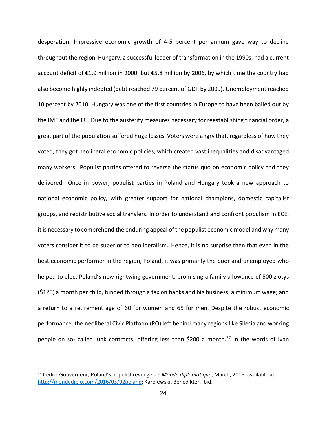desperation. Impressive economic growth of 4-5 percent per annum gave way to decline throughout the region. Hungary, a successful leader of transformation in the 1990s, had a current account deficit of €1.9 million in 2000, but €5.8 million by 2006, by which time the country had also become highly indebted (debt reached 79 percent of GDP by 2009). Unemployment reached 10 percent by 2010. Hungary was one of the first countries in Europe to have been bailed out by the IMF and the EU. Due to the austerity measures necessary for reestablishing financial order, a great part of the population suffered huge losses. Voters were angry that, regardless of how they voted, they got neoliberal economic policies, which created vast inequalities and disadvantaged many workers. Populist parties offered to reverse the status quo on economic policy and they delivered. Once in power, populist parties in Poland and Hungary took a new approach to national economic policy, with greater support for national champions, domestic capitalist groups, and redistributive social transfers. In order to understand and confront populism in ECE, it is necessary to comprehend the enduring appeal of the populist economic model and why many voters consider it to be superior to neoliberalism. Hence, it is no surprise then that even in the best economic performer in the region, Poland, it was primarily the poor and unemployed who helped to elect Poland's new rightwing government, promising a family allowance of 500 zlotys (\$120) a month per child, funded through a tax on banks and big business; a minimum wage; and a return to a retirement age of 60 for women and 65 for men. Despite the robust economic performance, the neoliberal Civic Platform (PO) left behind many regions like Silesia and working people on so- called junk contracts, offering less than \$200 a month.<sup>77</sup> In the words of Ivan

 <sup>77</sup> Cedric Gouverneur, Poland's populist revenge, *Le Monde diplomatique*, March, 2016, available at http://mondediplo.com/2016/03/02poland; Karolewski, Benedikter, ibid.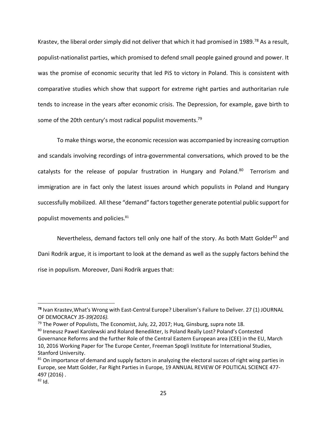Krastev, the liberal order simply did not deliver that which it had promised in 1989.<sup>78</sup> As a result, populist-nationalist parties, which promised to defend small people gained ground and power. It was the promise of economic security that led PiS to victory in Poland. This is consistent with comparative studies which show that support for extreme right parties and authoritarian rule tends to increase in the years after economic crisis. The Depression, for example, gave birth to some of the 20th century's most radical populist movements.<sup>79</sup>

To make things worse, the economic recession was accompanied by increasing corruption and scandals involving recordings of intra-governmental conversations, which proved to be the catalysts for the release of popular frustration in Hungary and Poland.<sup>80</sup> Terrorism and immigration are in fact only the latest issues around which populists in Poland and Hungary successfully mobilized. All these "demand" factors together generate potential public support for populist movements and policies.<sup>81</sup>

Nevertheless, demand factors tell only one half of the story. As both Matt Golder<sup>82</sup> and Dani Rodrik argue, it is important to look at the demand as well as the supply factors behind the rise in populism. Moreover, Dani Rodrik argues that:

l

**<sup>78</sup>** Ivan Krastev,What's Wrong with East-Central Europe? Liberalism's Failure to Deliver. 27 (1) JOURNAL OF DEMOCRACY *35-39(2016).* 

<sup>&</sup>lt;sup>79</sup> The Power of Populists, The Economist, July, 22, 2017; Hug, Ginsburg, supra note 18.

<sup>80</sup> Ireneusz Pawel Karolewski and Roland Benedikter, Is Poland Really Lost? Poland's Contested Governance Reforms and the further Role of the Central Eastern European area (CEE) in the EU, March 10, 2016 Working Paper for The Europe Center, Freeman Spogli Institute for International Studies, Stanford University.

 $81$  On importance of demand and supply factors in analyzing the electoral succes of right wing parties in Europe, see Matt Golder, Far Right Parties in Europe, 19 ANNUAL REVIEW OF POLITICAL SCIENCE 477- 497 (2016) .

 $82$  Id.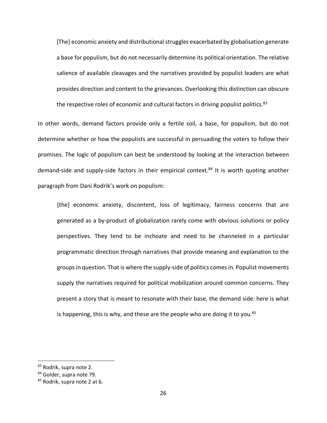[The] economic anxiety and distributional struggles exacerbated by globalisation generate a base for populism, but do not necessarily determine its political orientation. The relative salience of available cleavages and the narratives provided by populist leaders are what provides direction and content to the grievances. Overlooking this distinction can obscure the respective roles of economic and cultural factors in driving populist politics.<sup>83</sup>

In other words, demand factors provide only a fertile soil, a base, for populism, but do not determine whether or how the populists are successful in persuading the voters to follow their promises. The logic of populism can best be understood by looking at the interaction between demand-side and supply-side factors in their empirical context.<sup>84</sup> It is worth quoting another paragraph from Dani Rodrik's work on populism:

[the] economic anxiety, discontent, loss of legitimacy, fairness concerns that are generated as a by-product of globalization rarely come with obvious solutions or policy perspectives. They tend to be inchoate and need to be channeled in a particular programmatic direction through narratives that provide meaning and explanation to the groups in question. That is where the supply-side of politics comes in. Populist movements supply the narratives required for political mobilization around common concerns. They present a story that is meant to resonate with their base, the demand side: here is what is happening, this is why, and these are the people who are doing it to you. $85$ 

<sup>83</sup> Rodrik, supra note 2.

<sup>84</sup> Golder, supra note 79.

<sup>85</sup> Rodrik, supra note 2 at 6.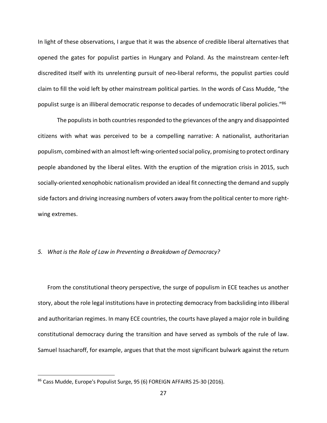In light of these observations, I argue that it was the absence of credible liberal alternatives that opened the gates for populist parties in Hungary and Poland. As the mainstream center-left discredited itself with its unrelenting pursuit of neo-liberal reforms, the populist parties could claim to fill the void left by other mainstream political parties. In the words of Cass Mudde, "the populist surge is an illiberal democratic response to decades of undemocratic liberal policies."86

The populists in both countries responded to the grievances of the angry and disappointed citizens with what was perceived to be a compelling narrative: A nationalist, authoritarian populism, combined with an almost left-wing-oriented social policy, promising to protect ordinary people abandoned by the liberal elites. With the eruption of the migration crisis in 2015, such socially-oriented xenophobic nationalism provided an ideal fit connecting the demand and supply side factors and driving increasing numbers of voters away from the political center to more rightwing extremes.

#### *5. What is the Role of Law in Preventing a Breakdown of Democracy?*

From the constitutional theory perspective, the surge of populism in ECE teaches us another story, about the role legal institutions have in protecting democracy from backsliding into illiberal and authoritarian regimes. In many ECE countries, the courts have played a major role in building constitutional democracy during the transition and have served as symbols of the rule of law. Samuel Issacharoff, for example, argues that that the most significant bulwark against the return

<sup>86</sup> Cass Mudde, Europe's Populist Surge, 95 (6) FOREIGN AFFAIRS 25-30 (2016).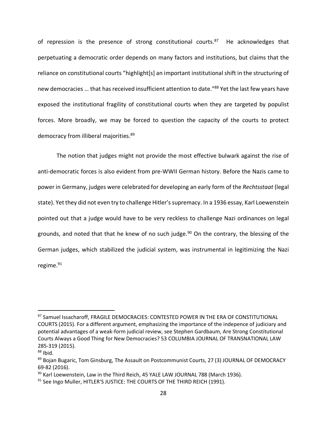of repression is the presence of strong constitutional courts. $87$  He acknowledges that perpetuating a democratic order depends on many factors and institutions, but claims that the reliance on constitutional courts "highlight[s] an important institutional shift in the structuring of new democracies ... that has received insufficient attention to date."<sup>88</sup> Yet the last few years have exposed the institutional fragility of constitutional courts when they are targeted by populist forces. More broadly, we may be forced to question the capacity of the courts to protect democracy from illiberal majorities.<sup>89</sup>

The notion that judges might not provide the most effective bulwark against the rise of anti-democratic forces is also evident from pre-WWII German history. Before the Nazis came to power in Germany, judges were celebrated for developing an early form of the *Rechtsstaat* (legal state). Yet they did not even try to challenge Hitler's supremacy. In a 1936 essay, Karl Loewenstein pointed out that a judge would have to be very reckless to challenge Nazi ordinances on legal grounds, and noted that that he knew of no such judge.<sup>90</sup> On the contrary, the blessing of the German judges, which stabilized the judicial system, was instrumental in legitimizing the Nazi regime. $91$ 

<sup>87</sup> Samuel Issacharoff, FRAGILE DEMOCRACIES: CONTESTED POWER IN THE ERA OF CONSTITUTIONAL COURTS (2015). For a different argument, emphasizing the importance of the indepence of judiciary and potential advantages of a weak-form judicial review, see Stephen Gardbaum, Are Strong Constitutional Courts Always a Good Thing for New Democracies? 53 COLUMBIA JOURNAL OF TRANSNATIONAL LAW 285-319 (2015).<br><sup>88</sup> Ibid.

<sup>&</sup>lt;sup>89</sup> Bojan Bugaric, Tom Ginsburg, The Assault on Postcommunist Courts, 27 (3) JOURNAL OF DEMOCRACY 69-82 (2016).<br><sup>90</sup> Karl Loewenstein, Law in the Third Reich, 45 YALE LAW JOURNAL 788 (March 1936).<br><sup>91</sup> See Ingo Muller, HITLER'S JUSTICE: THE COURTS OF THE THIRD REICH (1991).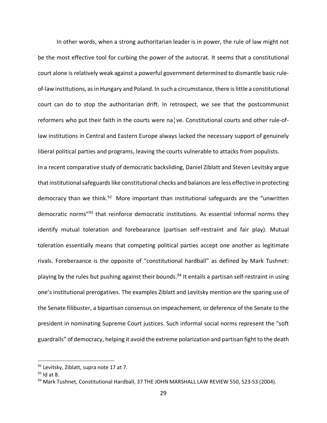In other words, when a strong authoritarian leader is in power, the rule of law might not be the most effective tool for curbing the power of the autocrat. It seems that a constitutional court alone is relatively weak against a powerful government determined to dismantle basic ruleof-law institutions, as in Hungary and Poland. In such a circumstance, there is little a constitutional court can do to stop the authoritarian drift. In retrospect, we see that the postcommunist reformers who put their faith in the courts were na¦ve. Constitutional courts and other rule-oflaw institutions in Central and Eastern Europe always lacked the necessary support of genuinely liberal political parties and programs, leaving the courts vulnerable to attacks from populists. In a recent comparative study of democratic backsliding, Daniel Ziblatt and Steven Levitsky argue that institutional safeguards like constitutional checks and balances are less effective in protecting democracy than we think. $92$  More important than institutional safeguards are the "unwritten democratic norms<sup>"93</sup> that reinforce democratic institutions. As essential informal norms they identify mutual toleration and forebearance (partisan self-restraint and fair play). Mutual toleration essentially means that competing political parties accept one another as legitimate rivals. Foreberaance is the opposite of "constitutional hardball" as defined by Mark Tushnet: playing by the rules but pushing against their bounds.<sup>94</sup> It entails a partisan self-restraint in using one's institutional prerogatives. The examples Ziblatt and Levitsky mention are the sparing use of the Senate filibuster, a bipartisan consensus on impeachement, or deference of the Senate to the president in nominating Supreme Court justices. Such informal social norms represent the "soft guardrails" of democracy, helping it avoid the extreme polarization and partisan fight to the death

<sup>92</sup> Levitsky, Ziblatt, supra note 17 at 7.

 $93$  Id at 8.

<sup>94</sup> Mark Tushnet, Constitutional Hardball, 37 THE JOHN MARSHALL LAW REVIEW 550, 523-53 (2004).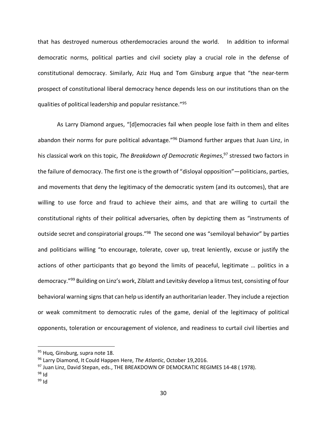that has destroyed numerous otherdemocracies around the world. In addition to informal democratic norms, political parties and civil society play a crucial role in the defense of constitutional democracy. Similarly, Aziz Huq and Tom Ginsburg argue that "the near-term prospect of constitutional liberal democracy hence depends less on our institutions than on the qualities of political leadership and popular resistance."95

As Larry Diamond argues, "[d]emocracies fail when people lose faith in them and elites abandon their norms for pure political advantage."<sup>96</sup> Diamond further argues that Juan Linz, in his classical work on this topic, *The Breakdown of Democratic Regimes*, <sup>97</sup> stressed two factors in the failure of democracy. The first one is the growth of "disloyal opposition"—politicians, parties, and movements that deny the legitimacy of the democratic system (and its outcomes), that are willing to use force and fraud to achieve their aims, and that are willing to curtail the constitutional rights of their political adversaries, often by depicting them as "instruments of outside secret and conspiratorial groups."<sup>98</sup> The second one was "semiloyal behavior" by parties and politicians willing "to encourage, tolerate, cover up, treat leniently, excuse or justify the actions of other participants that go beyond the limits of peaceful, legitimate … politics in a democracy."99 Building on Linz's work, Ziblatt and Levitsky develop a litmus test, consisting of four behavioral warning signs that can help us identify an authoritarian leader. They include a rejection or weak commitment to democratic rules of the game, denial of the legitimacy of political opponents, toleration or encouragement of violence, and readiness to curtail civil liberties and

- 
- $99$  Id

<sup>&</sup>lt;sup>95</sup> Hug, Ginsburg, supra note 18.

<sup>96</sup> Larry Diamond, It Could Happen Here, *The Atlantic*, October 19,2016.

 $^{97}$  Juan Linz, David Stepan, eds., THE BREAKDOWN OF DEMOCRATIC REGIMES 14-48 (1978).<br><sup>98</sup> Id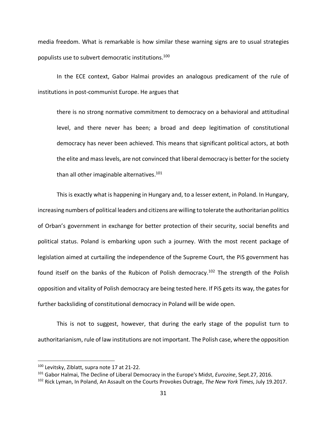media freedom. What is remarkable is how similar these warning signs are to usual strategies populists use to subvert democratic institutions.100

In the ECE context, Gabor Halmai provides an analogous predicament of the rule of institutions in post-communist Europe. He argues that

there is no strong normative commitment to democracy on a behavioral and attitudinal level, and there never has been; a broad and deep legitimation of constitutional democracy has never been achieved. This means that significant political actors, at both the elite and mass levels, are not convinced that liberal democracy is better for the society than all other imaginable alternatives.<sup>101</sup>

This is exactly what is happening in Hungary and, to a lesser extent, in Poland. In Hungary, increasing numbers of political leaders and citizens are willing to tolerate the authoritarian politics of Orban's government in exchange for better protection of their security, social benefits and political status. Poland is embarking upon such a journey. With the most recent package of legislation aimed at curtailing the independence of the Supreme Court, the PiS government has found itself on the banks of the Rubicon of Polish democracy.<sup>102</sup> The strength of the Polish opposition and vitality of Polish democracy are being tested here. If PiS gets its way, the gates for further backsliding of constitutional democracy in Poland will be wide open.

This is not to suggest, however, that during the early stage of the populist turn to authoritarianism, rule of law institutions are not important. The Polish case, where the opposition

 <sup>100</sup> Levitsky, Ziblatt, supra note 17 at 21-22.

<sup>101</sup> Gabor Halmai, The Decline of Liberal Democracy in the Europe's Midst, *Eurozine*, Sept.27, 2016.

<sup>102</sup> Rick Lyman, In Poland, An Assault on the Courts Provokes Outrage, *The New York Times*, July 19.2017.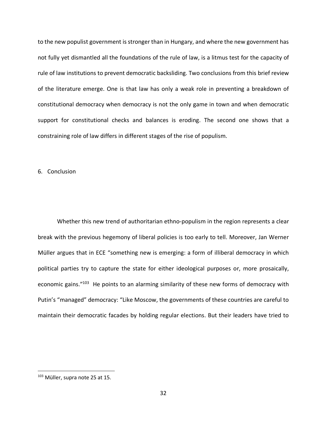to the new populist government is stronger than in Hungary, and where the new government has not fully yet dismantled all the foundations of the rule of law, is a litmus test for the capacity of rule of law institutions to prevent democratic backsliding. Two conclusions from this brief review of the literature emerge. One is that law has only a weak role in preventing a breakdown of constitutional democracy when democracy is not the only game in town and when democratic support for constitutional checks and balances is eroding. The second one shows that a constraining role of law differs in different stages of the rise of populism.

6. Conclusion

Whether this new trend of authoritarian ethno-populism in the region represents a clear break with the previous hegemony of liberal policies is too early to tell. Moreover, Jan Werner Müller argues that in ECE "something new is emerging: a form of illiberal democracy in which political parties try to capture the state for either ideological purposes or, more prosaically, economic gains."<sup>103</sup> He points to an alarming similarity of these new forms of democracy with Putin's "managed" democracy: "Like Moscow, the governments of these countries are careful to maintain their democratic facades by holding regular elections. But their leaders have tried to

<sup>&</sup>lt;sup>103</sup> Müller, supra note 25 at 15.